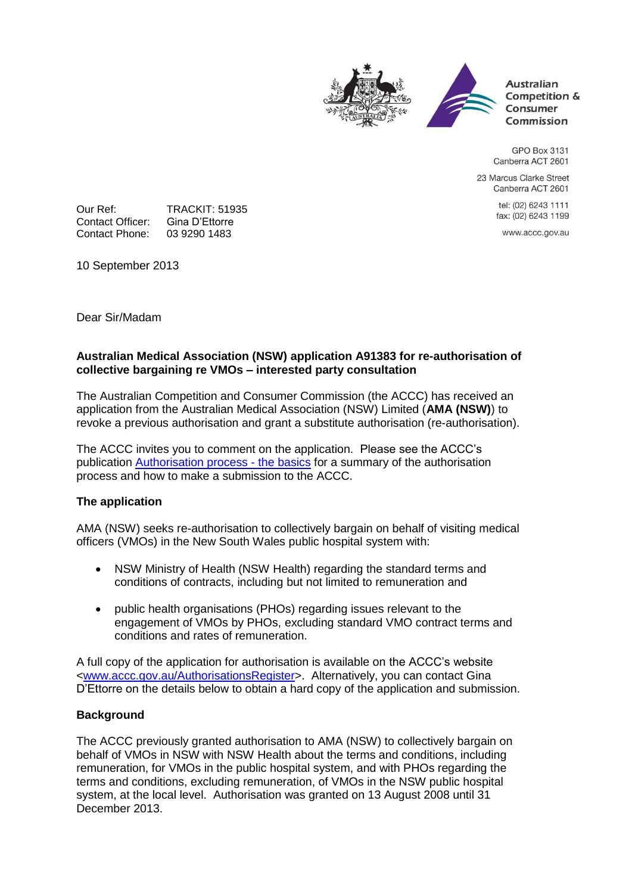

**Australian** Competition & Consumer Commission

GPO Box 3131 Canberra ACT 2601

23 Marcus Clarke Street Canberra ACT 2601

> tel: (02) 6243 1111 fax: (02) 6243 1199

www.accc.gov.au

Our Ref: TRACKIT: 51935<br>Contact Officer: Gina D'Ettorre Contact Officer: Gina D'Ettorre<br>Contact Phone: 03 9290 1483 Contact Phone:

10 September 2013

Dear Sir/Madam

### **Australian Medical Association (NSW) application A91383 for re-authorisation of collective bargaining re VMOs – interested party consultation**

The Australian Competition and Consumer Commission (the ACCC) has received an application from the Australian Medical Association (NSW) Limited (**AMA (NSW)**) to revoke a previous authorisation and grant a substitute authorisation (re-authorisation).

The ACCC invites you to comment on the application. Please see the ACCC's publication [Authorisation process -](http://www.accc.gov.au/publications/authorisation-process-the-basics) the basics for a summary of the authorisation process and how to make a submission to the ACCC.

## **The application**

AMA (NSW) seeks re-authorisation to collectively bargain on behalf of visiting medical officers (VMOs) in the New South Wales public hospital system with:

- NSW Ministry of Health (NSW Health) regarding the standard terms and conditions of contracts, including but not limited to remuneration and
- public health organisations (PHOs) regarding issues relevant to the engagement of VMOs by PHOs, excluding standard VMO contract terms and conditions and rates of remuneration.

A full copy of the application for authorisation is available on the ACCC's website [<www.accc.gov.au/AuthorisationsRegister>](http://www.accc.gov.au/AuthorisationsRegister). Alternatively, you can contact Gina D'Ettorre on the details below to obtain a hard copy of the application and submission.

#### **Background**

The ACCC previously granted authorisation to AMA (NSW) to collectively bargain on behalf of VMOs in NSW with NSW Health about the terms and conditions, including remuneration, for VMOs in the public hospital system, and with PHOs regarding the terms and conditions, excluding remuneration, of VMOs in the NSW public hospital system, at the local level. Authorisation was granted on 13 August 2008 until 31 December 2013.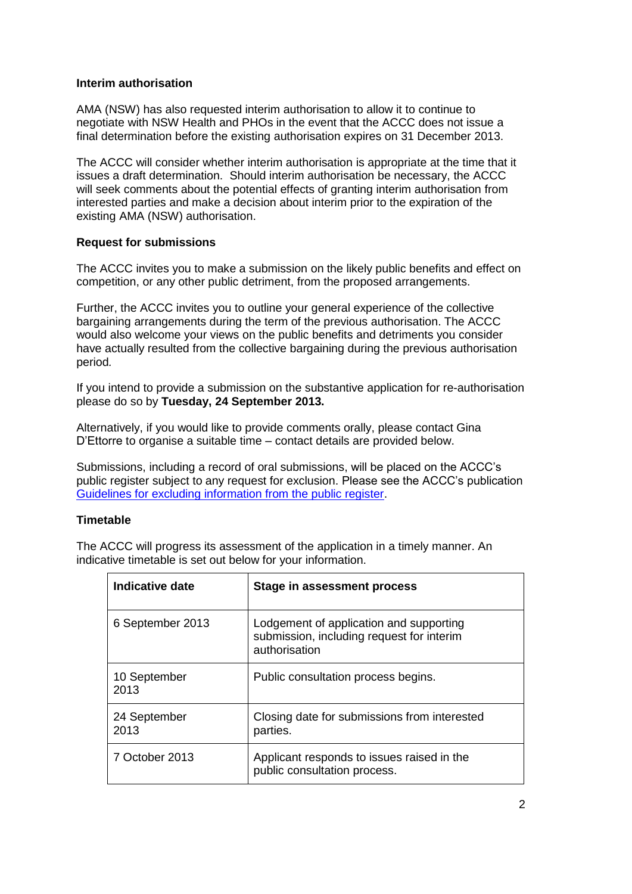#### **Interim authorisation**

AMA (NSW) has also requested interim authorisation to allow it to continue to negotiate with NSW Health and PHOs in the event that the ACCC does not issue a final determination before the existing authorisation expires on 31 December 2013.

The ACCC will consider whether interim authorisation is appropriate at the time that it issues a draft determination. Should interim authorisation be necessary, the ACCC will seek comments about the potential effects of granting interim authorisation from interested parties and make a decision about interim prior to the expiration of the existing AMA (NSW) authorisation.

#### **Request for submissions**

The ACCC invites you to make a submission on the likely public benefits and effect on competition, or any other public detriment, from the proposed arrangements.

Further, the ACCC invites you to outline your general experience of the collective bargaining arrangements during the term of the previous authorisation. The ACCC would also welcome your views on the public benefits and detriments you consider have actually resulted from the collective bargaining during the previous authorisation period*.*

If you intend to provide a submission on the substantive application for re-authorisation please do so by **Tuesday, 24 September 2013.**

Alternatively, if you would like to provide comments orally, please contact Gina D'Ettorre to organise a suitable time – contact details are provided below.

Submissions, including a record of oral submissions, will be placed on the ACCC's public register subject to any request for exclusion. Please see the ACCC's publication [Guidelines for excluding information from the public register.](http://www.accc.gov.au/system/files/Guidelines%20for%20excluding%20information%20from%20public%20register.pdf)

#### **Timetable**

The ACCC will progress its assessment of the application in a timely manner. An indicative timetable is set out below for your information.

| <b>Indicative date</b> | Stage in assessment process                                                                           |
|------------------------|-------------------------------------------------------------------------------------------------------|
| 6 September 2013       | Lodgement of application and supporting<br>submission, including request for interim<br>authorisation |
| 10 September<br>2013   | Public consultation process begins.                                                                   |
| 24 September<br>2013   | Closing date for submissions from interested<br>parties.                                              |
| 7 October 2013         | Applicant responds to issues raised in the<br>public consultation process.                            |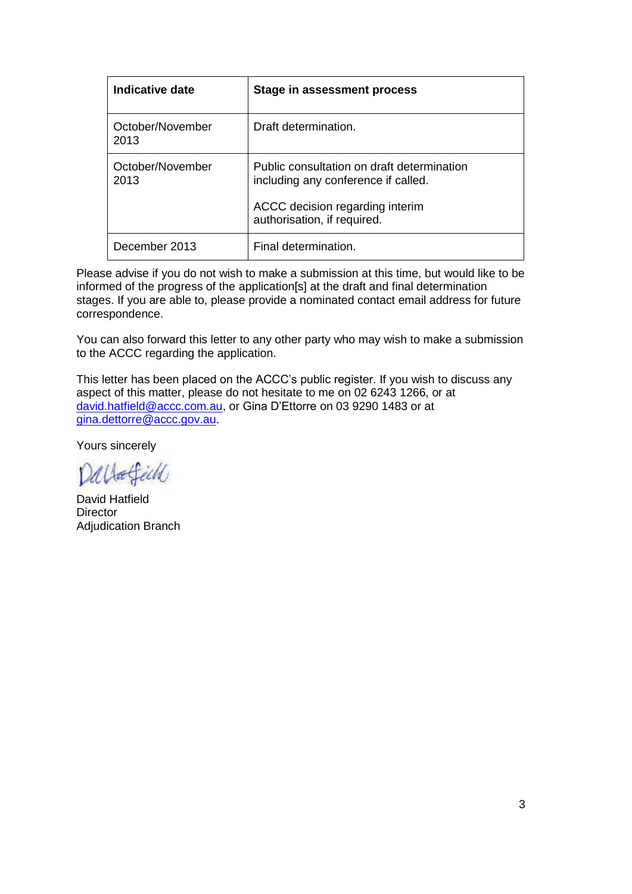| Indicative date          | Stage in assessment process                                                       |
|--------------------------|-----------------------------------------------------------------------------------|
| October/November<br>2013 | Draft determination.                                                              |
| October/November<br>2013 | Public consultation on draft determination<br>including any conference if called. |
|                          | ACCC decision regarding interim<br>authorisation, if required.                    |
| December 2013            | Final determination.                                                              |

Please advise if you do not wish to make a submission at this time, but would like to be informed of the progress of the application[s] at the draft and final determination stages. If you are able to, please provide a nominated contact email address for future correspondence.

You can also forward this letter to any other party who may wish to make a submission to the ACCC regarding the application.

This letter has been placed on the ACCC's public register. If you wish to discuss any aspect of this matter, please do not hesitate to me on 02 6243 1266, or at [david.hatfield@accc.com.au,](mailto:david.hatfield@accc.com.au) or Gina D'Ettorre on 03 9290 1483 or at [gina.dettorre@accc.gov.au.](mailto:gina.dettorre@accc.gov.au)

Yours sincerely

Dallafield

David Hatfield **Director** Adjudication Branch